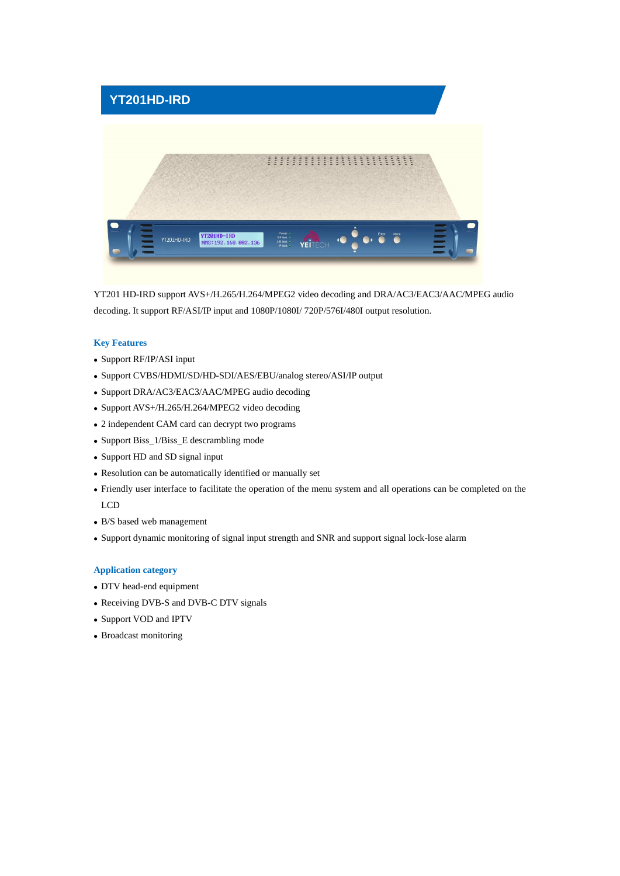

YT201 HD-IRD support AVS+/H.265/H.264/MPEG2 video decoding and DRA/AC3/EAC3/AAC/MPEG audio decoding. It support RF/ASI/IP input and 1080P/1080I/ 720P/576I/480I output resolution.

## **Key Features**

- ⚫ Support RF/IP/ASI input
- ⚫ Support CVBS/HDMI/SD/HD-SDI/AES/EBU/analog stereo/ASI/IP output
- ⚫ Support DRA/AC3/EAC3/AAC/MPEG audio decoding
- ⚫ Support AVS+/H.265/H.264/MPEG2 video decoding
- ⚫ 2 independent CAM card can decrypt two programs
- ⚫ Support Biss\_1/Biss\_E descrambling mode
- ⚫ Support HD and SD signal input
- ⚫ Resolution can be automatically identified or manually set
- ⚫ Friendly user interface to facilitate the operation of the menu system and all operations can be completed on the LCD
- ⚫ B/S based web management
- ⚫ Support dynamic monitoring of signal input strength and SNR and support signal lock-lose alarm

## **Application category**

- ⚫ DTV head-end equipment
- ⚫ Receiving DVB-S and DVB-C DTV signals
- ⚫ Support VOD and IPTV
- ⚫ Broadcast monitoring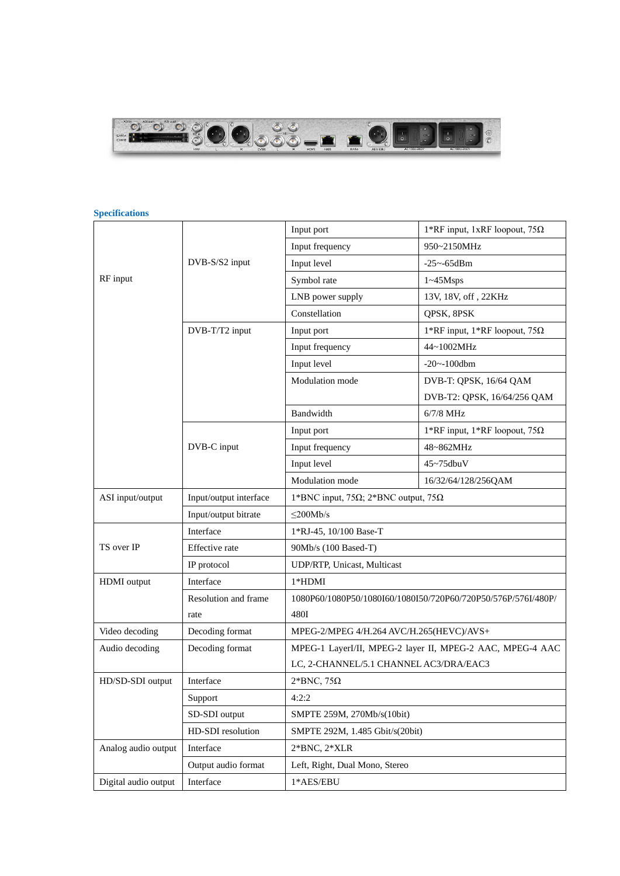

## **Specifications**

|                      |                        | Input port                                           | 1*RF input, 1xRF loopout, 75 $\Omega$                         |
|----------------------|------------------------|------------------------------------------------------|---------------------------------------------------------------|
|                      |                        | Input frequency                                      | 950~2150MHz                                                   |
|                      | DVB-S/S2 input         | Input level                                          | $-25 - -65$ dBm                                               |
| RF input             |                        | Symbol rate                                          | $1 \sim 45$ Msps                                              |
|                      |                        | LNB power supply                                     | 13V, 18V, off, 22KHz                                          |
|                      |                        | Constellation                                        | QPSK, 8PSK                                                    |
|                      | DVB-T/T2 input         | Input port                                           | 1*RF input, 1*RF loopout, 75 $\Omega$                         |
|                      |                        | Input frequency                                      | 44~1002MHz                                                    |
|                      |                        | Input level                                          | $-20$ ~ $-100$ dbm                                            |
|                      |                        | Modulation mode                                      | DVB-T: QPSK, 16/64 QAM                                        |
|                      |                        |                                                      | DVB-T2: QPSK, 16/64/256 QAM                                   |
|                      |                        | Bandwidth                                            | $6/7/8$ MHz                                                   |
|                      |                        | Input port                                           | 1*RF input, 1*RF loopout, 75 $\Omega$                         |
|                      | DVB-C input            | Input frequency                                      | 48~862MHz                                                     |
|                      |                        | Input level                                          | $45 \sim 75$ dbuV                                             |
|                      |                        | Modulation mode                                      | 16/32/64/128/256QAM                                           |
| ASI input/output     | Input/output interface | 1*BNC input, 75 $\Omega$ ; 2*BNC output, 75 $\Omega$ |                                                               |
|                      | Input/output bitrate   | $\leq$ 200Mb/s                                       |                                                               |
|                      | Interface              | 1*RJ-45, 10/100 Base-T                               |                                                               |
| TS over IP           | Effective rate         | 90Mb/s (100 Based-T)                                 |                                                               |
|                      | IP protocol            | UDP/RTP, Unicast, Multicast                          |                                                               |
| HDMI output          | Interface              | $1*HDMI$                                             |                                                               |
|                      | Resolution and frame   |                                                      | 1080P60/1080P50/1080I60/1080I50/720P60/720P50/576P/576I/480P/ |
|                      | rate                   | 480I                                                 |                                                               |
| Video decoding       | Decoding format        | MPEG-2/MPEG 4/H.264 AVC/H.265(HEVC)/AVS+             |                                                               |
| Audio decoding       | Decoding format        |                                                      | MPEG-1 LayerI/II, MPEG-2 layer II, MPEG-2 AAC, MPEG-4 AAC     |
|                      |                        | LC, 2-CHANNEL/5.1 CHANNEL AC3/DRA/EAC3               |                                                               |
| HD/SD-SDI output     | Interface              | $2*BNC, 75\Omega$                                    |                                                               |
|                      | Support                | 4:2:2                                                |                                                               |
|                      | SD-SDI output          | SMPTE 259M, 270Mb/s(10bit)                           |                                                               |
|                      | HD-SDI resolution      | SMPTE 292M, 1.485 Gbit/s(20bit)                      |                                                               |
| Analog audio output  | Interface              | $2*BNC, 2*XLR$                                       |                                                               |
|                      | Output audio format    | Left, Right, Dual Mono, Stereo                       |                                                               |
| Digital audio output | Interface              | $1*AES/EBU$                                          |                                                               |